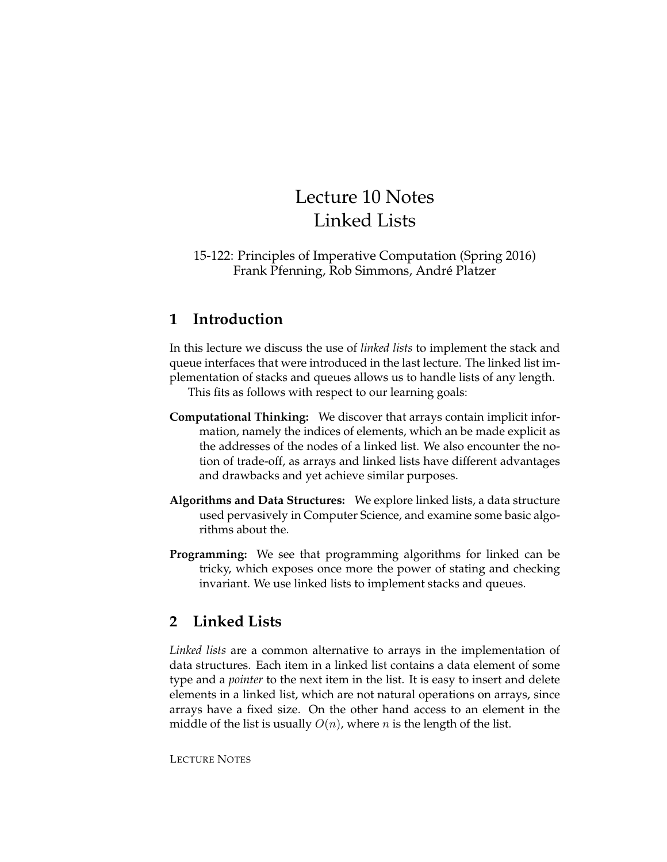# Lecture 10 Notes Linked Lists

15-122: Principles of Imperative Computation (Spring 2016) Frank Pfenning, Rob Simmons, André Platzer

# **1 Introduction**

In this lecture we discuss the use of *linked lists* to implement the stack and queue interfaces that were introduced in the last lecture. The linked list implementation of stacks and queues allows us to handle lists of any length.

This fits as follows with respect to our learning goals:

- **Computational Thinking:** We discover that arrays contain implicit information, namely the indices of elements, which an be made explicit as the addresses of the nodes of a linked list. We also encounter the notion of trade-off, as arrays and linked lists have different advantages and drawbacks and yet achieve similar purposes.
- **Algorithms and Data Structures:** We explore linked lists, a data structure used pervasively in Computer Science, and examine some basic algorithms about the.
- **Programming:** We see that programming algorithms for linked can be tricky, which exposes once more the power of stating and checking invariant. We use linked lists to implement stacks and queues.

# **2 Linked Lists**

*Linked lists* are a common alternative to arrays in the implementation of data structures. Each item in a linked list contains a data element of some type and a *pointer* to the next item in the list. It is easy to insert and delete elements in a linked list, which are not natural operations on arrays, since arrays have a fixed size. On the other hand access to an element in the middle of the list is usually  $O(n)$ , where n is the length of the list.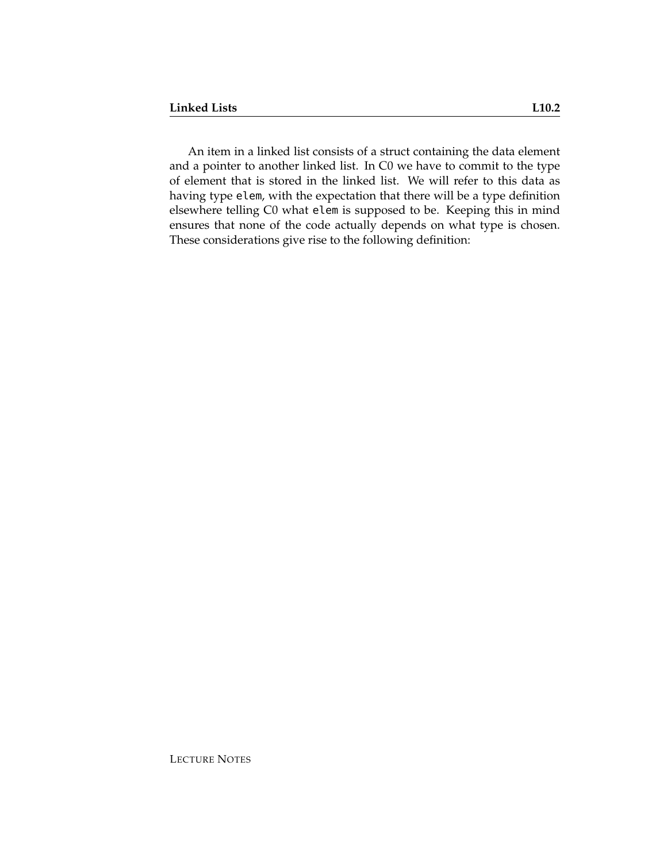An item in a linked list consists of a struct containing the data element and a pointer to another linked list. In C0 we have to commit to the type of element that is stored in the linked list. We will refer to this data as having type elem, with the expectation that there will be a type definition elsewhere telling C0 what elem is supposed to be. Keeping this in mind ensures that none of the code actually depends on what type is chosen. These considerations give rise to the following definition: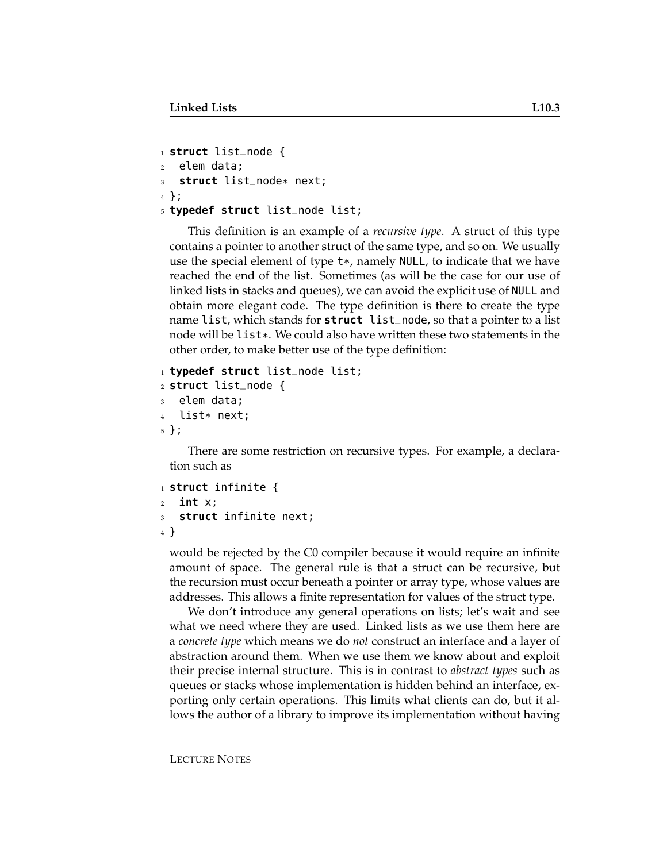```
1 struct list_node {
2 elem data;
3 struct list_node* next;
4 };
5 typedef struct list_node list;
```
This definition is an example of a *recursive type*. A struct of this type contains a pointer to another struct of the same type, and so on. We usually use the special element of type t\*, namely NULL, to indicate that we have reached the end of the list. Sometimes (as will be the case for our use of linked lists in stacks and queues), we can avoid the explicit use of NULL and obtain more elegant code. The type definition is there to create the type name list, which stands for **struct** list\_node, so that a pointer to a list node will be list\*. We could also have written these two statements in the other order, to make better use of the type definition:

```
1 typedef struct list_node list;
2 struct list_node {
3 elem data;
4 list* next;
5 };
```
There are some restriction on recursive types. For example, a declaration such as

```
1 struct infinite {
2 int x;
3 struct infinite next;
4 }
```
would be rejected by the C0 compiler because it would require an infinite amount of space. The general rule is that a struct can be recursive, but the recursion must occur beneath a pointer or array type, whose values are addresses. This allows a finite representation for values of the struct type.

We don't introduce any general operations on lists; let's wait and see what we need where they are used. Linked lists as we use them here are a *concrete type* which means we do *not* construct an interface and a layer of abstraction around them. When we use them we know about and exploit their precise internal structure. This is in contrast to *abstract types* such as queues or stacks whose implementation is hidden behind an interface, exporting only certain operations. This limits what clients can do, but it allows the author of a library to improve its implementation without having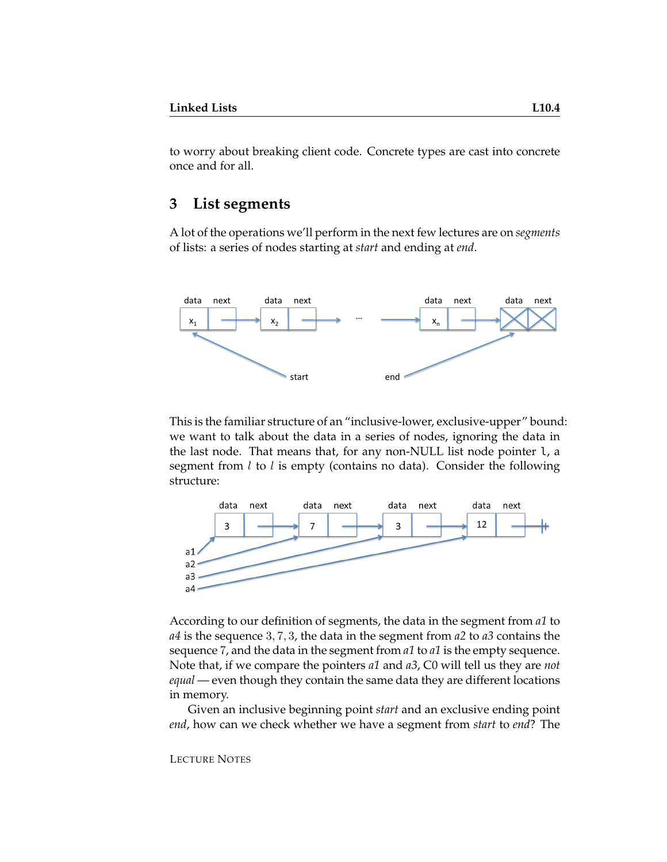to worry about breaking client code. Concrete types are cast into concrete once and for all.

### **3 List segments**

A lot of the operations we'll perform in the next few lectures are on *segments* of lists: a series of nodes starting at *start* and ending at *end*.



This is the familiar structure of an "inclusive-lower, exclusive-upper" bound: we want to talk about the data in a series of nodes, ignoring the data in the last node. That means that, for any non-NULL list node pointer l, a segment from  $l$  to  $l$  is empty (contains no data). Consider the following structure:



According to our definition of segments, the data in the segment from *a1* to *a4* is the sequence 3, 7, 3, the data in the segment from *a2* to *a3* contains the sequence 7, and the data in the segment from *a1* to *a1* is the empty sequence. Note that, if we compare the pointers *a1* and *a3*, C0 will tell us they are *not equal* — even though they contain the same data they are different locations in memory.

Given an inclusive beginning point *start* and an exclusive ending point *end*, how can we check whether we have a segment from *start* to *end*? The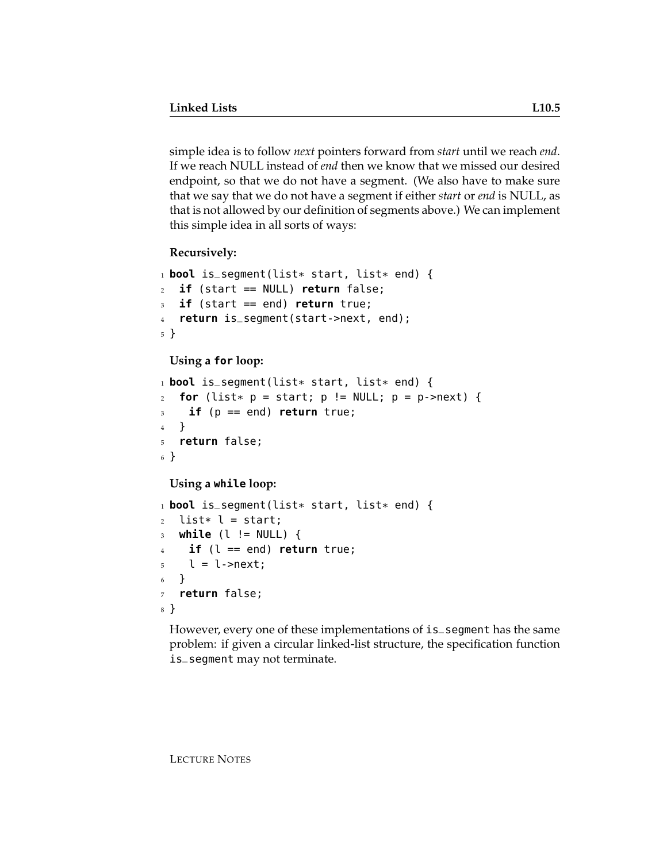simple idea is to follow *next* pointers forward from *start* until we reach *end*. If we reach NULL instead of *end* then we know that we missed our desired endpoint, so that we do not have a segment. (We also have to make sure that we say that we do not have a segment if either *start* or *end* is NULL, as that is not allowed by our definition of segments above.) We can implement this simple idea in all sorts of ways:

#### **Recursively:**

```
1 bool is_segment(list* start, list* end) {
2 if (start == NULL) return false;
3 if (start == end) return true;
4 return is_segment(start->next, end);
5 }
 Using a for loop:
```

```
1 bool is_segment(list* start, list* end) {
2 for (list* p = start; p == NULL; p = p->next) {
3 if (p == end) return true;
4 }
5 return false;
6 }
```
**Using a while loop:**

```
1 bool is_segment(list* start, list* end) {
2 \text{ list* } l = \text{start};3 while (l != NULL) {
4 if (l == end) return true;
5 \qquad l = l->next;
6 }
7 return false;
8 }
```
However, every one of these implementations of is\_segment has the same problem: if given a circular linked-list structure, the specification function is\_segment may not terminate.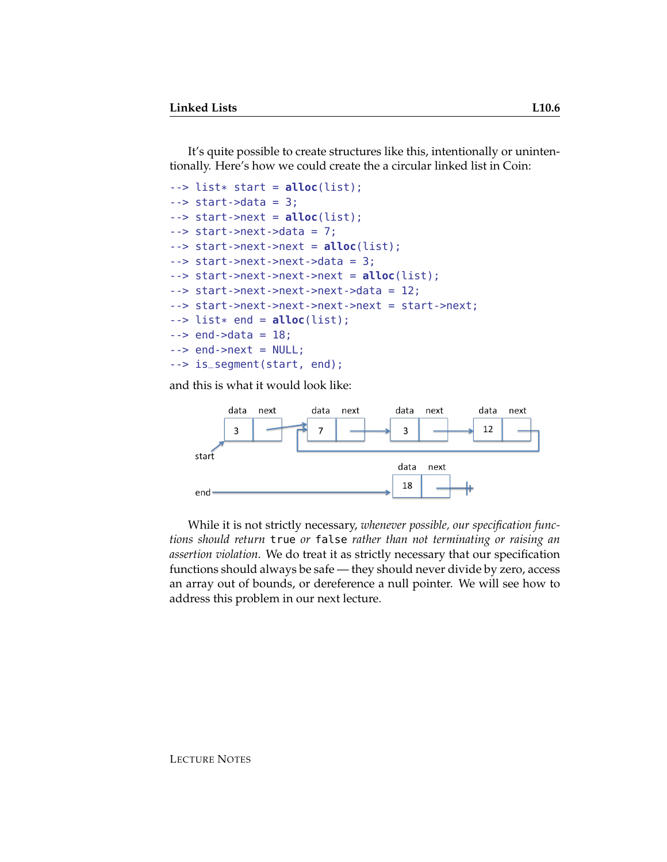It's quite possible to create structures like this, intentionally or unintentionally. Here's how we could create the a circular linked list in Coin:

```
\rightarrow list* start = \alphalloc(list);
\rightarrow start->data = 3;
--> start->next = alloc(list);
\rightarrow start->next->data = 7;
--> start->next->next = alloc(list);
--> start->next->next->data = 3;
--> start->next->next->next = alloc(list);
--> start->next->next->next->data = 12;
--> start->next->next->next->next = start->next;
\rightarrow list* end = \alphalloc(list);
\leftarrow > end->data = 18;
\text{-} -> end->next = NULL;
--> is_segment(start, end);
```
and this is what it would look like:



While it is not strictly necessary, *whenever possible, our specification functions should return* true *or* false *rather than not terminating or raising an assertion violation*. We do treat it as strictly necessary that our specification functions should always be safe — they should never divide by zero, access an array out of bounds, or dereference a null pointer. We will see how to address this problem in our next lecture.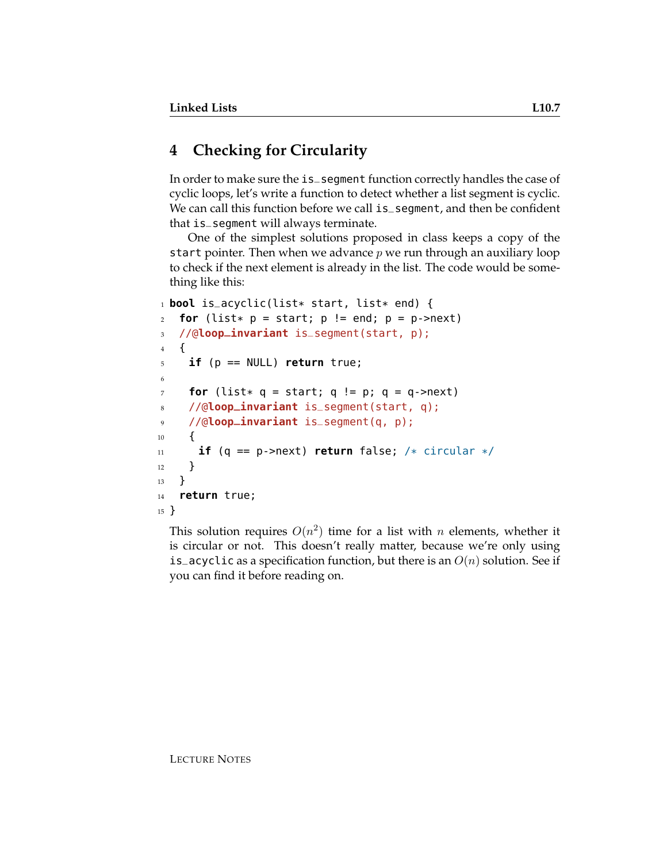# **4 Checking for Circularity**

In order to make sure the is\_segment function correctly handles the case of cyclic loops, let's write a function to detect whether a list segment is cyclic. We can call this function before we call is\_segment, and then be confident that is\_segment will always terminate.

One of the simplest solutions proposed in class keeps a copy of the start pointer. Then when we advance  $p$  we run through an auxiliary loop to check if the next element is already in the list. The code would be something like this:

```
1 bool is_acyclic(list* start, list* end) {
2 for (list* p = start; p == end; p = p->next)
3 //@loop_invariant is_segment(start, p);
4 {
5 if (p == NULL) return true;
6
7 for (list* q = start; q := p; q = q->next)
8 //@loop_invariant is_segment(start, q);
9 //@loop_invariant is_segment(q, p);
10 \qquad \qquad11 if (q == p->next) return false; /* circular */
12
13 \frac{1}{2}14 return true;
15 }
```
This solution requires  $O(n^2)$  time for a list with  $n$  elements, whether it is circular or not. This doesn't really matter, because we're only using is acyclic as a specification function, but there is an  $O(n)$  solution. See if you can find it before reading on.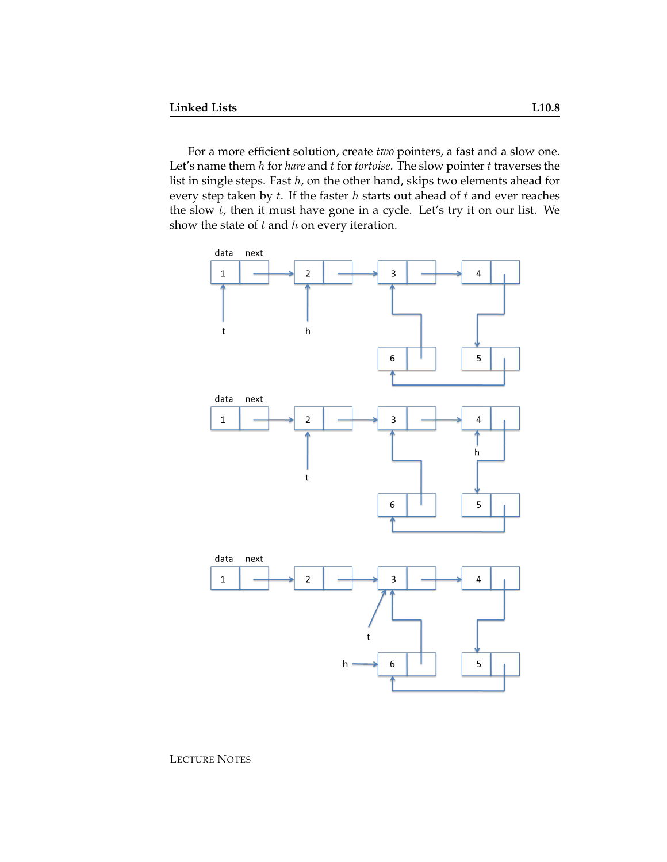For a more efficient solution, create *two* pointers, a fast and a slow one. Let's name them h for *hare* and t for *tortoise*. The slow pointer t traverses the list in single steps. Fast  $h$ , on the other hand, skips two elements ahead for every step taken by  $t$ . If the faster  $h$  starts out ahead of  $t$  and ever reaches the slow  $t$ , then it must have gone in a cycle. Let's try it on our list. We show the state of  $t$  and  $h$  on every iteration.

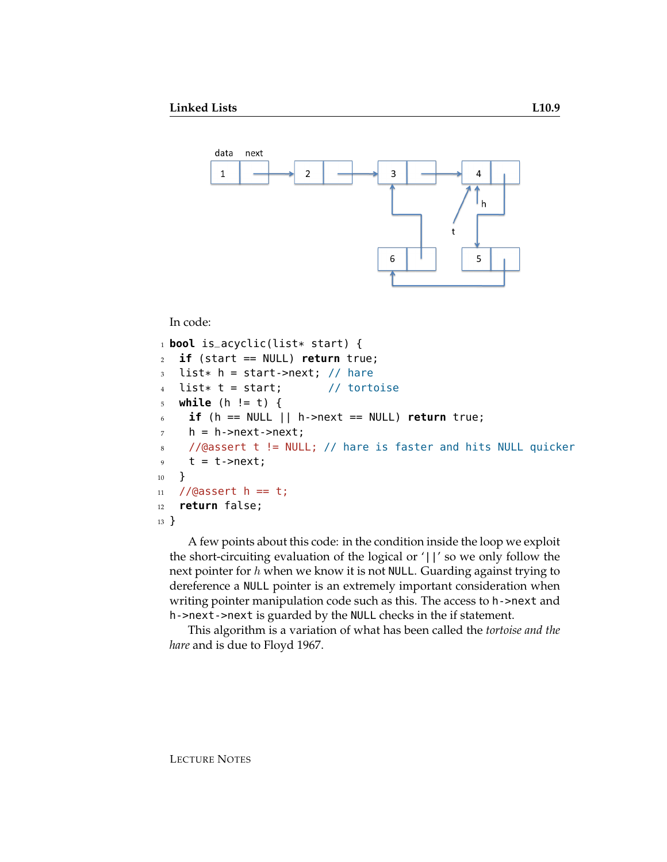

```
4 list* t = start; // tortoise
5 while (h != t) {
6 if (h == NULL || h->next == NULL) return true;
h = h->next->next;
8 //@assert t != NULL; // hare is faster and hits NULL quicker
9 t = t->next;
10 }
11 / (0assert h == t;
12 return false;
13 }
```
A few points about this code: in the condition inside the loop we exploit the short-circuiting evaluation of the logical or '||' so we only follow the next pointer for  $h$  when we know it is not NULL. Guarding against trying to dereference a NULL pointer is an extremely important consideration when writing pointer manipulation code such as this. The access to h->next and h->next->next is guarded by the NULL checks in the if statement.

This algorithm is a variation of what has been called the *tortoise and the hare* and is due to Floyd 1967.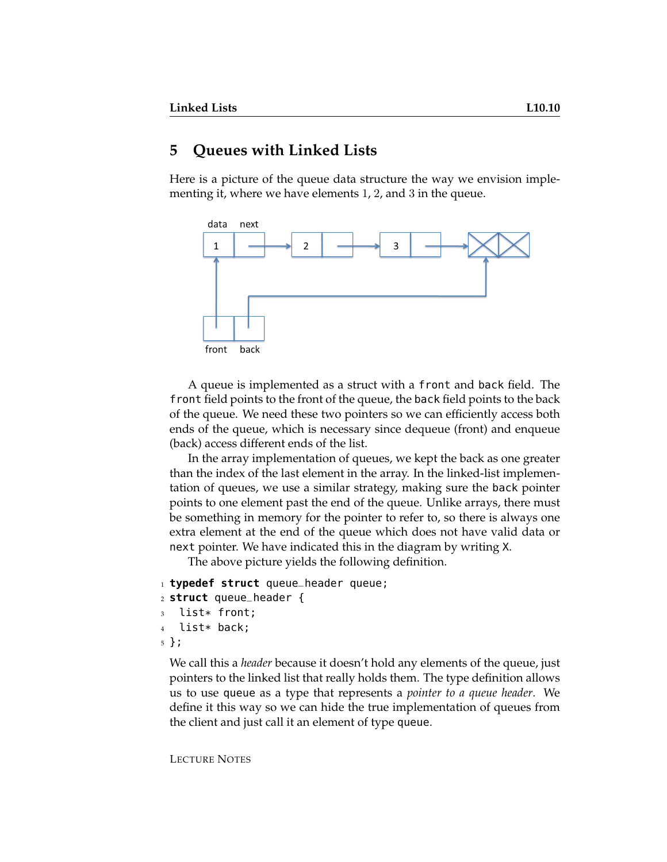### **5 Queues with Linked Lists**

Here is a picture of the queue data structure the way we envision implementing it, where we have elements 1, 2, and 3 in the queue.



A queue is implemented as a struct with a front and back field. The front field points to the front of the queue, the back field points to the back of the queue. We need these two pointers so we can efficiently access both ends of the queue, which is necessary since dequeue (front) and enqueue (back) access different ends of the list.

In the array implementation of queues, we kept the back as one greater than the index of the last element in the array. In the linked-list implementation of queues, we use a similar strategy, making sure the back pointer points to one element past the end of the queue. Unlike arrays, there must be something in memory for the pointer to refer to, so there is always one extra element at the end of the queue which does not have valid data or next pointer. We have indicated this in the diagram by writing X.

The above picture yields the following definition.

```
1 typedef struct queue_header queue;
```

```
2 struct queue_header {
```

```
3 list* front;
```

```
4 list* back;
```

```
5 };
```
We call this a *header* because it doesn't hold any elements of the queue, just pointers to the linked list that really holds them. The type definition allows us to use queue as a type that represents a *pointer to a queue header*. We define it this way so we can hide the true implementation of queues from the client and just call it an element of type queue.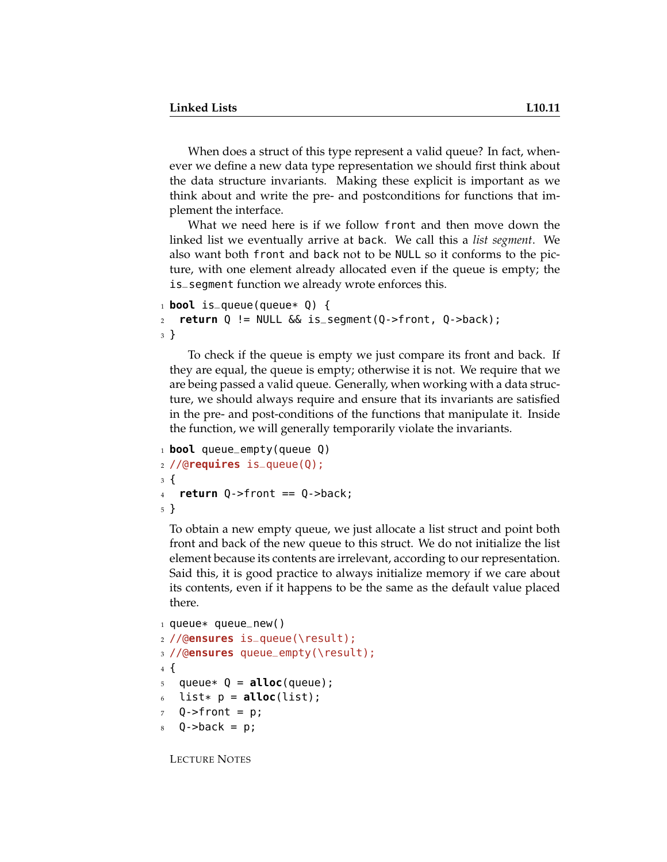When does a struct of this type represent a valid queue? In fact, whenever we define a new data type representation we should first think about the data structure invariants. Making these explicit is important as we think about and write the pre- and postconditions for functions that implement the interface.

What we need here is if we follow front and then move down the linked list we eventually arrive at back. We call this a *list segment*. We also want both front and back not to be NULL so it conforms to the picture, with one element already allocated even if the queue is empty; the is\_segment function we already wrote enforces this.

```
1 bool is_queue(queue* Q) {
2 return Q != NULL \&\& is_segment(Q->front, Q->back);
3 }
```
To check if the queue is empty we just compare its front and back. If they are equal, the queue is empty; otherwise it is not. We require that we are being passed a valid queue. Generally, when working with a data structure, we should always require and ensure that its invariants are satisfied in the pre- and post-conditions of the functions that manipulate it. Inside the function, we will generally temporarily violate the invariants.

```
1 bool queue_empty(queue Q)
2 //@requires is_queue(Q);
3 {
4 return 0 \rightarrow front == 0 \rightarrow back;
5 }
```
To obtain a new empty queue, we just allocate a list struct and point both front and back of the new queue to this struct. We do not initialize the list element because its contents are irrelevant, according to our representation. Said this, it is good practice to always initialize memory if we care about its contents, even if it happens to be the same as the default value placed there.

```
1 queue* queue_new()
```

```
2 //@ensures is_queue(\result);
3 //@ensures queue_empty(\result);
4 {
5 queue* Q = alloc(queue);
  list * p = <b>alloc</b>(list);7 Q->front = p;
8 Q->back = p;
```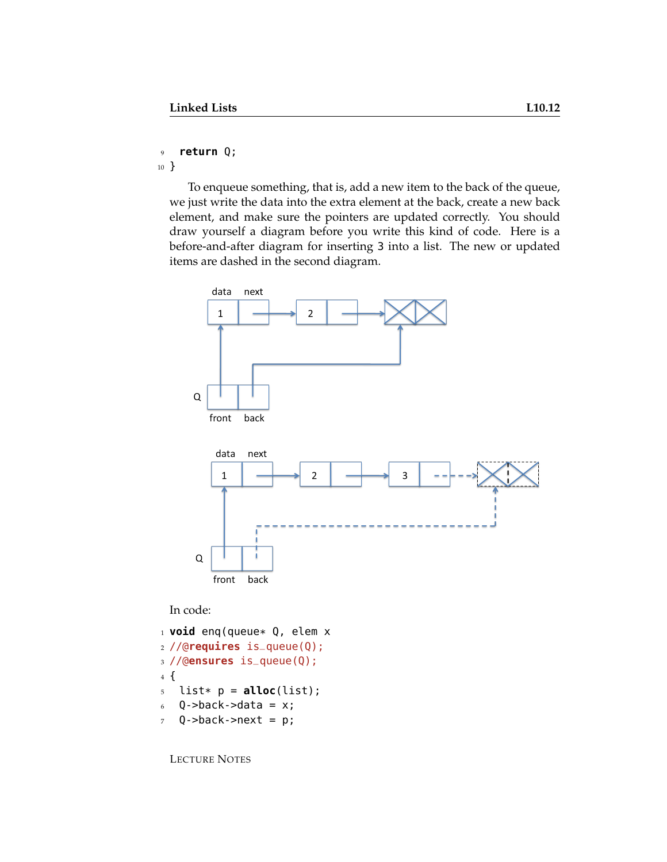#### <sup>9</sup> **return** Q;

<sup>10</sup> }

To enqueue something, that is, add a new item to the back of the queue, we just write the data into the extra element at the back, create a new back element, and make sure the pointers are updated correctly. You should draw yourself a diagram before you write this kind of code. Here is a before-and-after diagram for inserting 3 into a list. The new or updated items are dashed in the second diagram.



In code:

```
1 void enq(queue* Q, elem x
2 //@requires is_queue(Q);
3 //@ensures is_queue(Q);
4 {
5 list* p = alloc(list);
6 Q->back->data = x;
7 Q->back->next = p;
```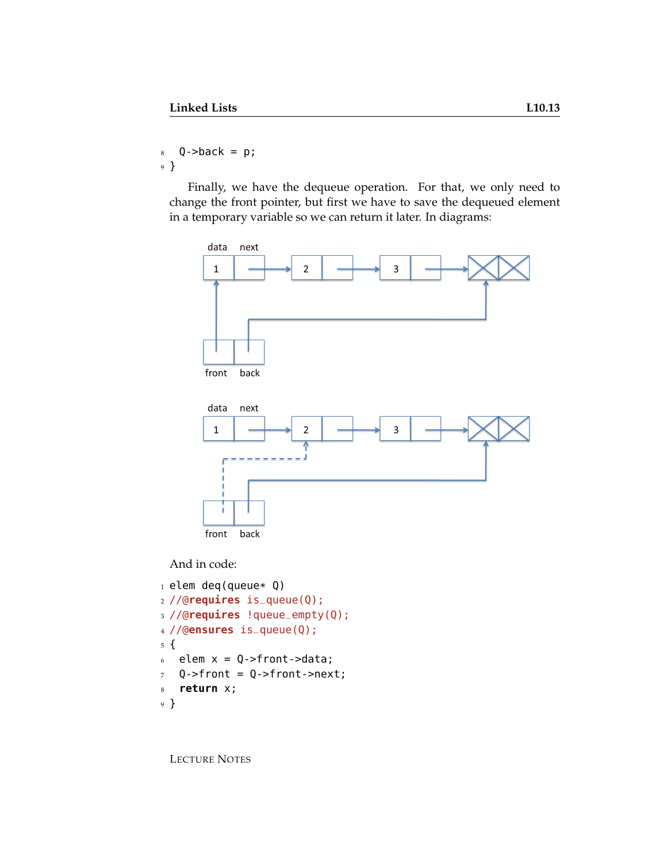### $8$  Q- $>$ back = p; <sup>9</sup> }

Finally, we have the dequeue operation. For that, we only need to change the front pointer, but first we have to save the dequeued element in a temporary variable so we can return it later. In diagrams:



And in code:

```
1 elem deq(queue* Q)
2 //@requires is_queue(Q);
3 //@requires !queue_empty(Q);
4 //@ensures is_queue(Q);
5 {
6 elem x = 0->front->data;
7 Q->front = Q->front->next;
8 return x;
9 }
```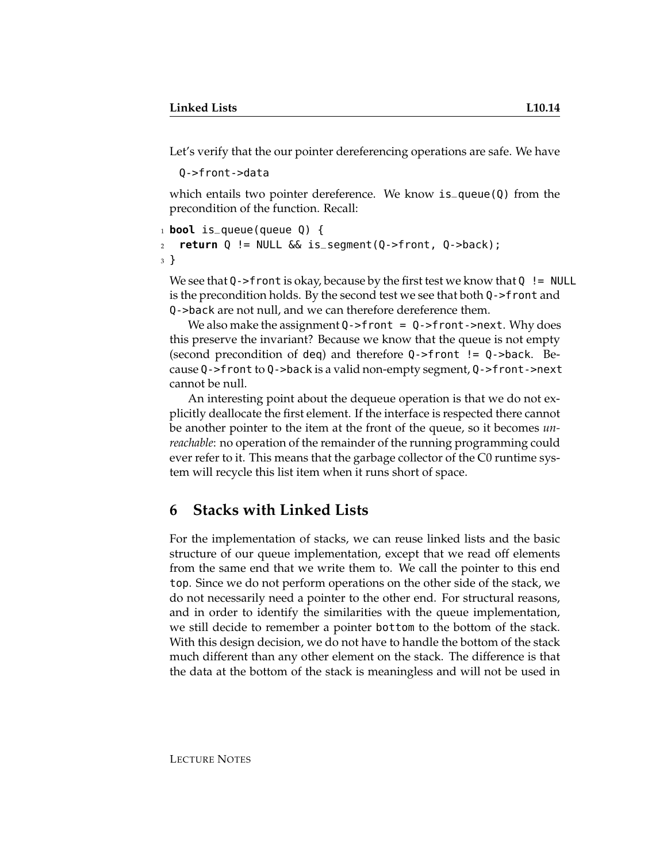Let's verify that the our pointer dereferencing operations are safe. We have

Q->front->data

which entails two pointer dereference. We know  $is_{qu}$ queue( $Q$ ) from the precondition of the function. Recall:

```
1 bool is_queue(queue Q) {
2 return Q != NULL && is_segment(Q->front, Q->back);
3 }
```
We see that  $Q$ ->front is okay, because by the first test we know that  $Q$ ! = NULL is the precondition holds. By the second test we see that both Q->front and Q->back are not null, and we can therefore dereference them.

We also make the assignment  $Q$ ->front =  $Q$ ->front->next. Why does this preserve the invariant? Because we know that the queue is not empty (second precondition of deq) and therefore  $Q$ ->front  $!= Q$ ->back. Because Q->front to Q->back is a valid non-empty segment, Q->front->next cannot be null.

An interesting point about the dequeue operation is that we do not explicitly deallocate the first element. If the interface is respected there cannot be another pointer to the item at the front of the queue, so it becomes *unreachable*: no operation of the remainder of the running programming could ever refer to it. This means that the garbage collector of the C0 runtime system will recycle this list item when it runs short of space.

### **6 Stacks with Linked Lists**

For the implementation of stacks, we can reuse linked lists and the basic structure of our queue implementation, except that we read off elements from the same end that we write them to. We call the pointer to this end top. Since we do not perform operations on the other side of the stack, we do not necessarily need a pointer to the other end. For structural reasons, and in order to identify the similarities with the queue implementation, we still decide to remember a pointer bottom to the bottom of the stack. With this design decision, we do not have to handle the bottom of the stack much different than any other element on the stack. The difference is that the data at the bottom of the stack is meaningless and will not be used in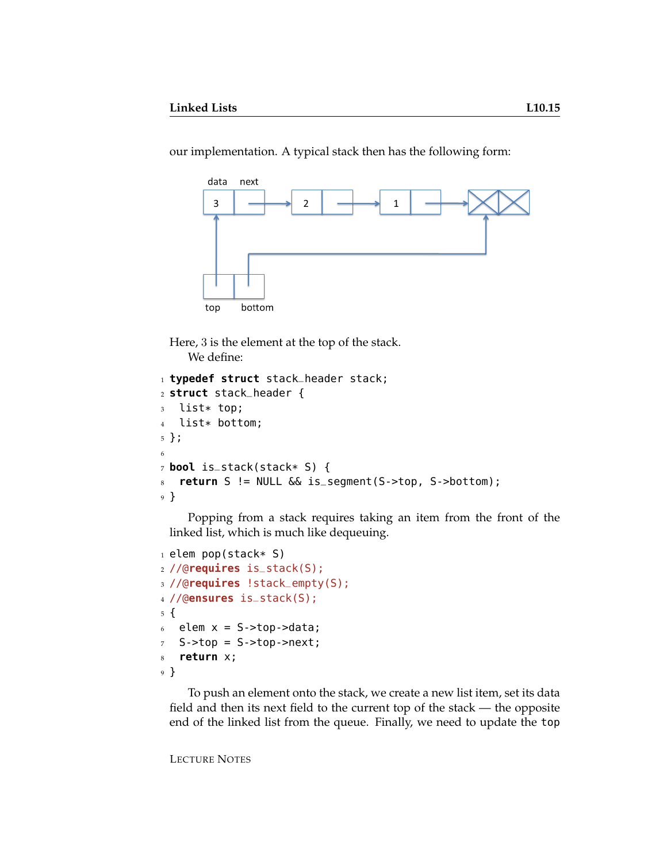our implementation. A typical stack then has the following form:



```
Here, 3 is the element at the top of the stack.
   We define:
```

```
1 typedef struct stack_header stack;
2 struct stack_header {
3 list* top;
4 list* bottom;
5 };
6
7 bool is_stack(stack* S) {
8 return S != NULL && is_segment(S->top, S->bottom);
9 }
```
Popping from a stack requires taking an item from the front of the linked list, which is much like dequeuing.

```
_1 elem pop(stack* S)
2 //@requires is_stack(S);
3 //@requires !stack_empty(S);
4 //@ensures is_stack(S);
5 {
6 elem x = S->top->data;
7 S->top =S->top-next;8 return x;
9 }
```
To push an element onto the stack, we create a new list item, set its data field and then its next field to the current top of the stack — the opposite end of the linked list from the queue. Finally, we need to update the top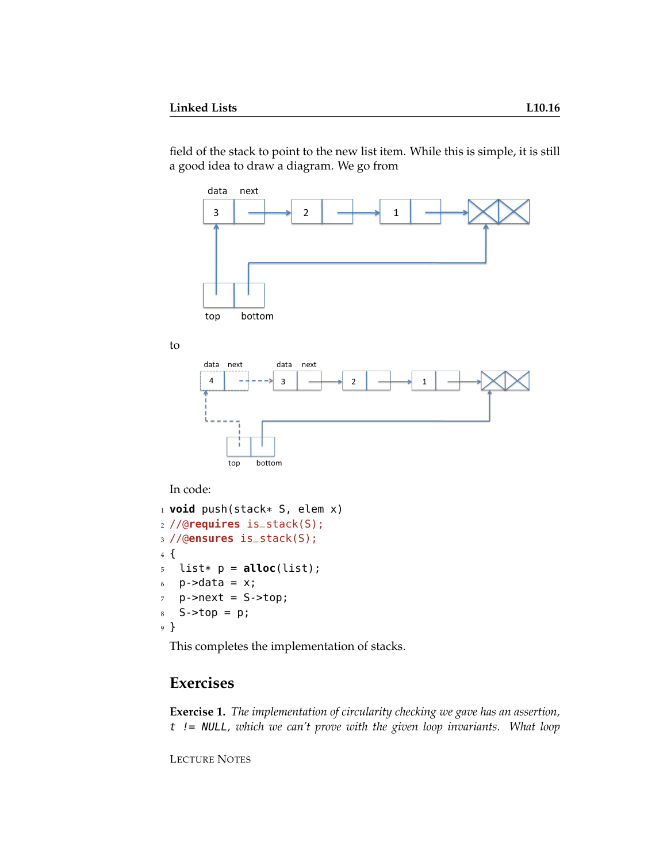field of the stack to point to the new list item. While this is simple, it is still a good idea to draw a diagram. We go from



to



In code:

```
1 void push(stack* S, elem x)
2 //@requires is_stack(S);
3 //@ensures is_stack(S);
4 {
5 list* p = alloc(list);
6 p->data = x;
7 p->next = S->top;
s S->top = p;
9 }
```
This completes the implementation of stacks.

## **Exercises**

**Exercise 1.** *The implementation of circularity checking we gave has an assertion,* t != NULL*, which we can't prove with the given loop invariants. What loop*